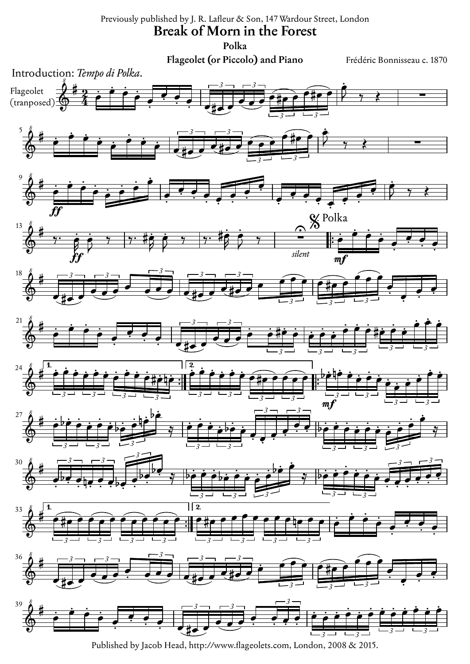## Previously published by J. R. Lafleur & Son, 147 Wardour Street, London **Break of Morn in the Forest**

**Polka**

**Flageolet (or Piccolo) and Piano** Frédéric Bonnisseau c. 1870



Published by Jacob Head, http://www.flageolets.com, London, 2008 & 2015.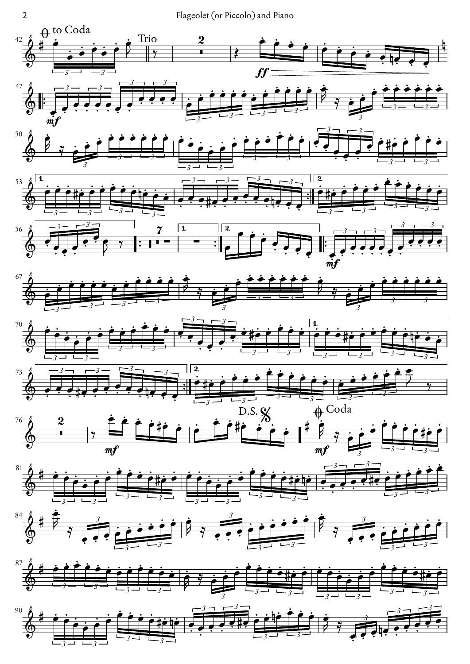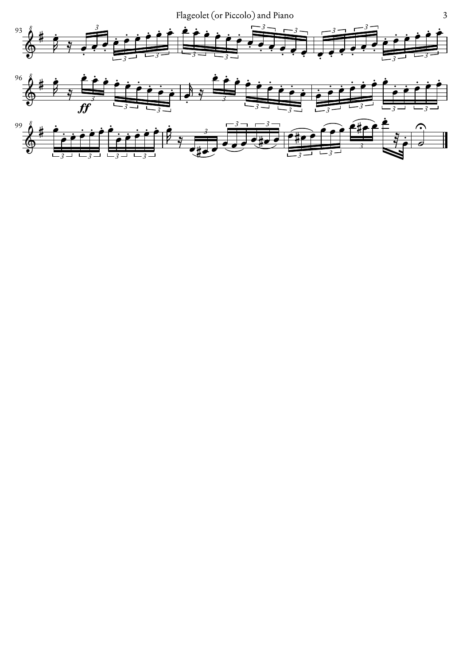Flageolet (or Piccolo) and Piano



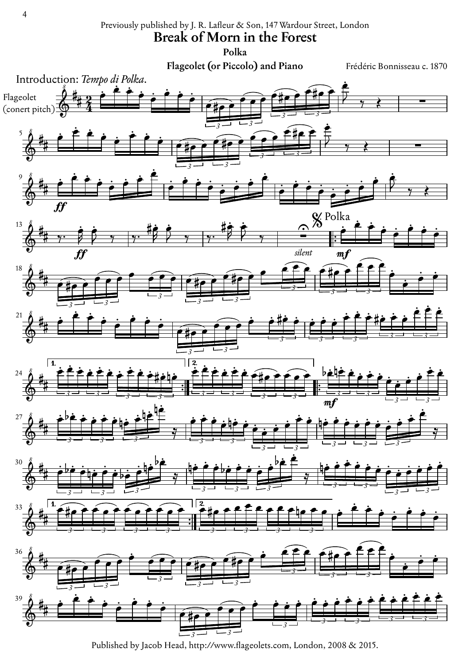**Polka**

**Flageolet (or Piccolo) and Piano** Frédéric Bonnisseau c. 1870



Published by Jacob Head, http://www.flageolets.com, London, 2008 & 2015.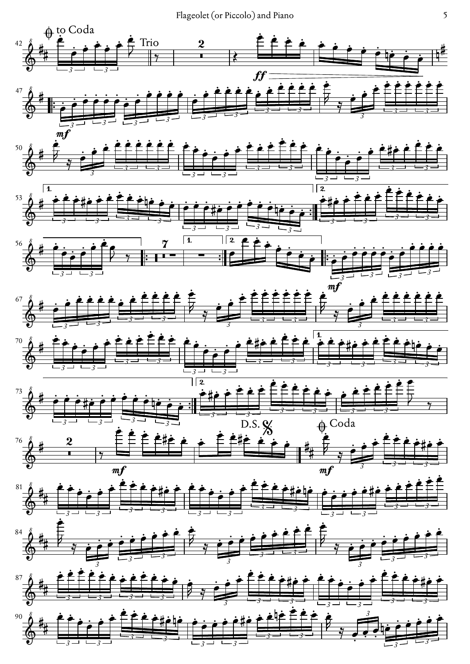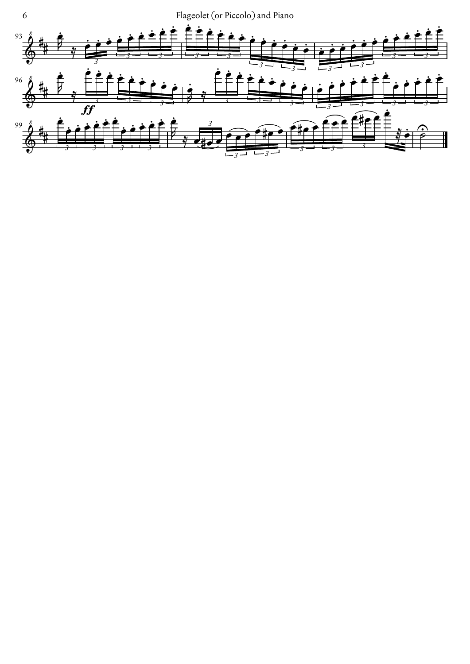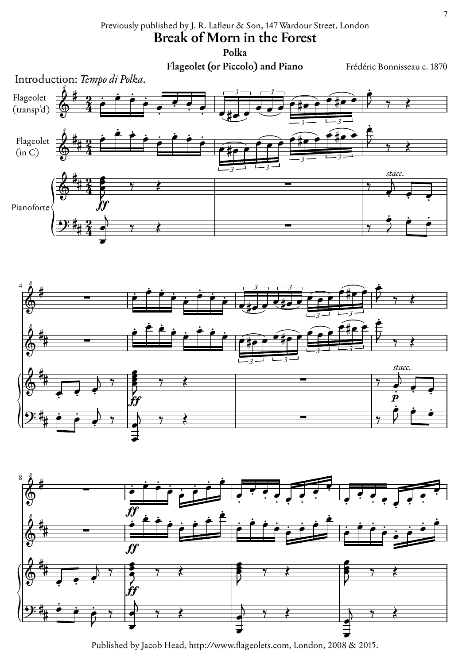**Polka Flageolet (or Piccolo) and Piano** Frédéric Bonnisseau c. 1870

 $\frac{1}{1}$ è è 1 Ľ  $\overline{\epsilon}$  $\overline{z}$ ġ ė  $\overline{\mathbf{y}}$  $\overline{\mathbf{y}}$  $\overline{z}$  $\vec{\epsilon}$ é  $\frac{1}{\sqrt{1-\frac{1}{\sqrt{1-\frac{1}{\sqrt{1-\frac{1}{\sqrt{1-\frac{1}{\sqrt{1-\frac{1}{\sqrt{1-\frac{1}{\sqrt{1-\frac{1}{\sqrt{1-\frac{1}{\sqrt{1-\frac{1}{\sqrt{1-\frac{1}{\sqrt{1-\frac{1}{\sqrt{1-\frac{1}{\sqrt{1-\frac{1}{\sqrt{1-\frac{1}{\sqrt{1-\frac{1}{\sqrt{1-\frac{1}{\sqrt{1-\frac{1}{\sqrt{1-\frac{1}{\sqrt{1-\frac{1}{\sqrt{1-\frac{1}{\sqrt{1-\frac{1}{\sqrt{1-\frac{1}{\sqrt{1-\frac{1}{\sqrt{1-\frac{1$  $e$   $\frac{4}{1}$ É é ł í.  $\overline{\check{\varepsilon}}$ è *3* L <u>.</u> *3 3 3 3 3* -*3 3 stacc.* ġ - $\overline{\bullet}$  $\overline{\mathbf{y}}$  $\overline{\mathbf{y}}$ - $\dot{\bar{\bm{\epsilon}}}$  $\overline{\bullet}$  $\overline{z}$  $\overline{\mathbf{r}}$  $\overline{\mathbf{r}}$ -Ė - $\overline{\mathcal{I}}$  $\overline{\mathcal{I}}$ ė ė -Ė ė -.<br>P - $\frac{1}{\sqrt{2}}$  $\frac{1}{2}$  $\frac{1}{\cdot}$  $\dot{\bar{\bm{e}}}$ ė -É 4 2<br>2<br>4 <u>خ</u> - $\pmb{\phi}$ *8*  $\sharp$ 1 4 2<br>2<br>4 p<br>S # S ff  $\Phi$  $\sharp$ 1 4 2<br>2  $\overline{\phantom{a}}$ 9:#2。 Flageolet (transp'd) Flageolet  $(in C)$ Pianoforte  $\sharp$ 1  $\dot{\bar{\bm{e}}}$ - $\pmb{\phi}$ *8* Introduction: *Tempo di Polka.*  $\vec{r}$ '<br>L 4 <u>ን</u><br>4  $\overline{\bullet}$  $\overline{\phantom{a}}$  $\frac{1}{4}$  $\overline{\bullet}$ É  $\overline{\phantom{a}}$  $\overline{\epsilon}$  $\frac{1}{4}$  $\overline{\phantom{a}}$  $\epsilon$  $\overline{\bullet}$ ė -ė - $\bullet$  $\overline{\phantom{a}}$  $\frac{1}{\cdot}$  $\vec{\epsilon}$ -.<br>P -





Published by Jacob Head, http://www.flageolets.com, London, 2008 & 2015.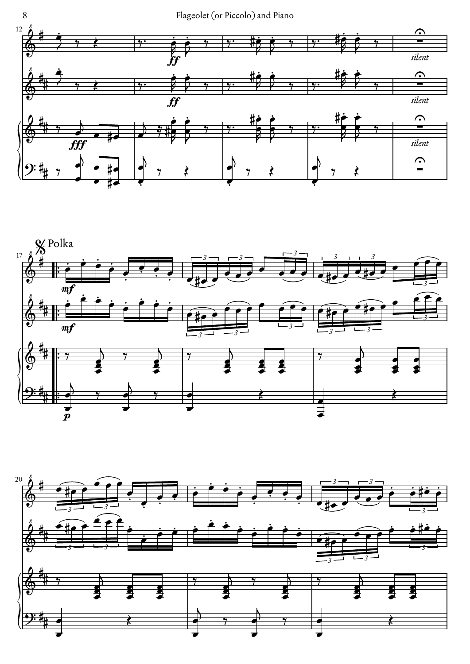





8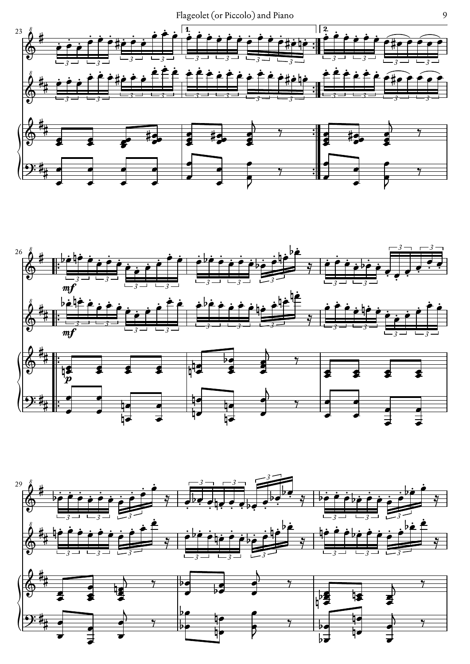Flageolet (or Piccolo) and Piano





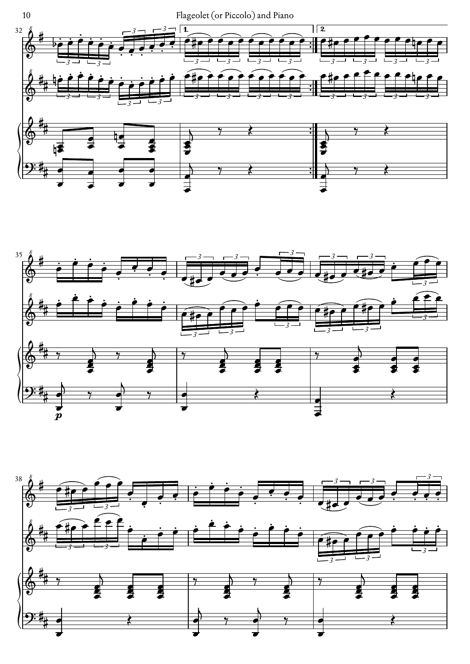



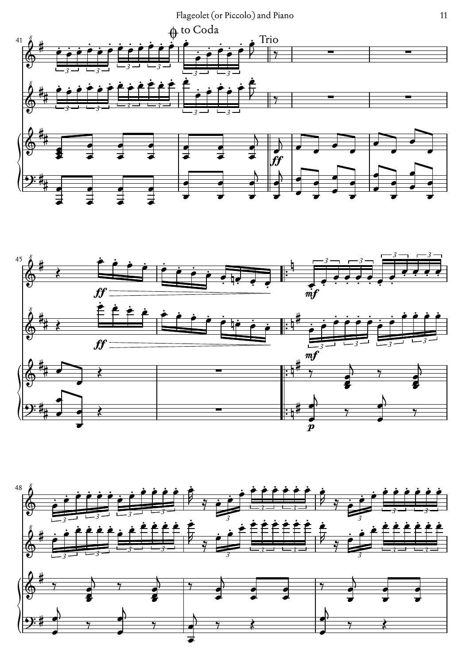Flageolet (or Piccolo) and Piano





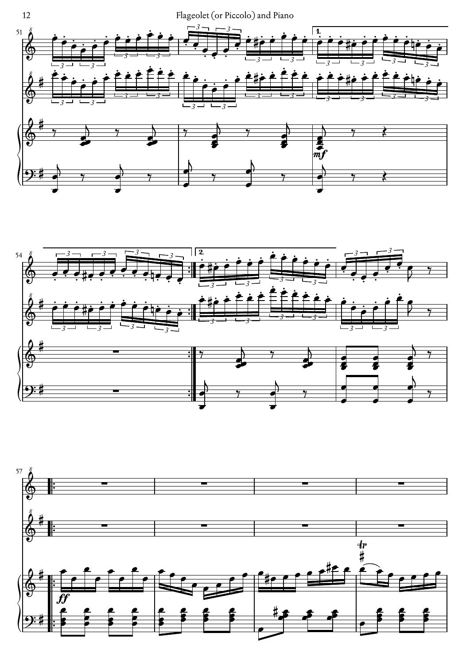





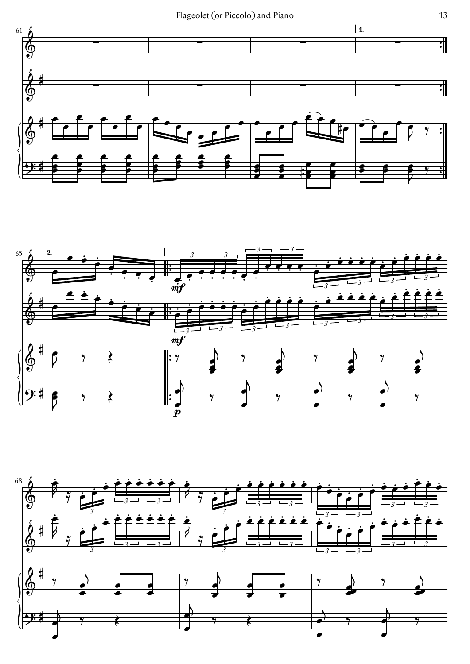





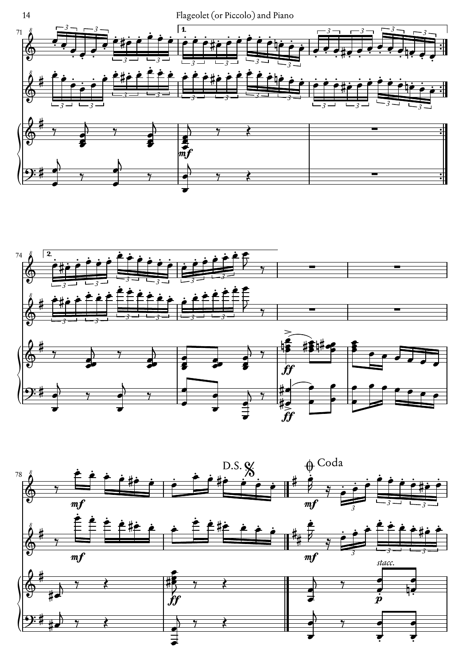



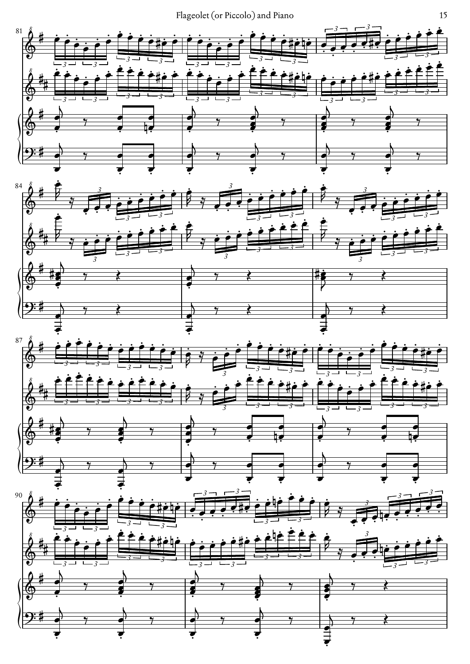Flageolet (or Piccolo) and Piano